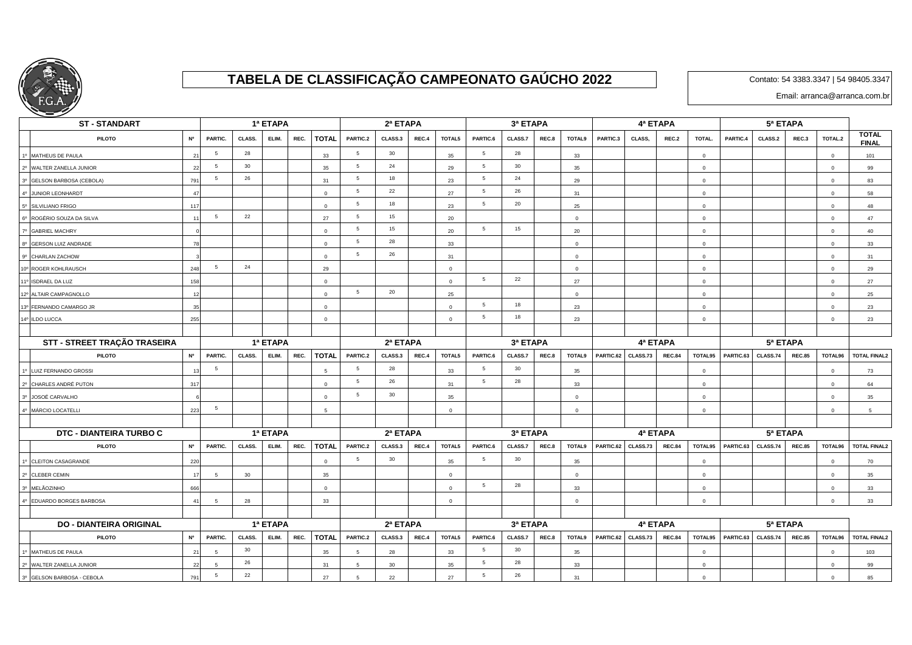

## **TABELA DE CLASSIFICAÇÃO CAMPEONATO GAÚCHO 2022**

Contato: 54 3383.3347 | 54 98405.3347

Email: arranca@arranca.com.br

| <b>ST-STANDART</b>             |                 |          | 1ª ETAPA |          |      | 2ª ETAPA       |                 |          |       |                | 3ª ETAPA        |          |       | 4ª ETAPA       |           |          |               |                |           |          |               |                |                              |  |  |
|--------------------------------|-----------------|----------|----------|----------|------|----------------|-----------------|----------|-------|----------------|-----------------|----------|-------|----------------|-----------|----------|---------------|----------------|-----------|----------|---------------|----------------|------------------------------|--|--|
| <b>PILOTO</b>                  | <b>N°</b>       | PARTIC.  | CLASS.   | ELIM.    | REC. | <b>TOTAL</b>   | PARTIC.2        | CLASS.3  | REC.4 | TOTAL5         | PARTIC.6        | CLASS.7  | REC.8 | TOTAL9         | PARTIC.3  | CLASS,   | REC.2         | TOTAL.         | PARTIC.4  | CLASS.2  | REC.3         | TOTAL.2        | <b>TOTAL</b><br><b>FINAL</b> |  |  |
| 1º MATHEUS DE PAULA            |                 | 5        | 28       |          |      | 33             | $5\overline{5}$ | 30       |       | 35             | 5               | 28       |       | 33             |           |          |               | $\Omega$       |           |          |               | $\overline{0}$ | 101                          |  |  |
| 2º WALTER ZANELLA JUNIOR       | $\overline{2}$  | 5        | 30       |          |      | 35             | 5               | 24       |       | 29             | 5               | 30       |       | 35             |           |          |               | $\Omega$       |           |          |               | $\overline{0}$ | 99                           |  |  |
| 3º GELSON BARBOSA (CEBOLA)     | 79              | 5        | 26       |          |      | 31             | $5\phantom{.0}$ | 18       |       | 23             | $5\phantom{.0}$ | 24       |       | 29             |           |          |               | $\Omega$       |           |          |               | $\overline{0}$ | 83                           |  |  |
| 4º JUNIOR LEONHARDT            |                 |          |          |          |      | $\Omega$       | $5\overline{5}$ | 22       |       | 27             | $5\phantom{.0}$ | 26       |       | 31             |           |          |               | $\Omega$       |           |          |               | $\overline{0}$ | 58                           |  |  |
| 5º SILVILIANO FRIGO            | 117             |          |          |          |      | $\Omega$       | 5               | 18       |       | 23             | 5               | 20       |       | 25             |           |          |               | $\Omega$       |           |          |               | $\overline{0}$ | 48                           |  |  |
| 6º ROGÉRIO SOUZA DA SILVA      |                 | 5        | 22       |          |      | 27             | 5               | 15       |       | 20             |                 |          |       | $\mathbf{0}$   |           |          |               | $\Omega$       |           |          |               | $\overline{0}$ | 47                           |  |  |
| 7º GABRIEL MACHRY              |                 |          |          |          |      | $\Omega$       | $5\phantom{.0}$ | 15       |       | 20             | 5               | 15       |       | 20             |           |          |               | $\Omega$       |           |          |               | $\mathbf 0$    | 40                           |  |  |
| 8º GERSON LUIZ ANDRADE         |                 |          |          |          |      | $\mathbf 0$    | 5               | 28       |       | 33             |                 |          |       | $\mathbf 0$    |           |          |               | $\mathbf 0$    |           |          |               | $\overline{0}$ | 33                           |  |  |
| 9º CHARLAN ZACHOW              |                 |          |          |          |      | $\Omega$       | $5\overline{5}$ | 26       |       | 31             |                 |          |       | $\mathbf{0}$   |           |          |               | $\overline{0}$ |           |          |               | $\overline{0}$ | 31                           |  |  |
| 10° ROGER KOHLRAUSCH           | 248             | 5        | 24       |          |      | 29             |                 |          |       | $\mathbf 0$    |                 |          |       | $\mathbf{0}$   |           |          |               | $\Omega$       |           |          |               | $\mathbf 0$    | 29                           |  |  |
| 11º ISDRAEL DA LUZ             | 158             |          |          |          |      | $\overline{0}$ |                 |          |       | $\mathbf 0$    | 5               | 22       |       | 27             |           |          |               | $\overline{0}$ |           |          |               | $\overline{0}$ | 27                           |  |  |
| 12º ALTAIR CAMPAGNOLLO         |                 |          |          |          |      | $\overline{0}$ | $5\phantom{.0}$ | 20       |       | 25             |                 |          |       | $\overline{0}$ |           |          |               | $\overline{0}$ |           |          |               | $\overline{0}$ | 25                           |  |  |
| 13º FERNANDO CAMARGO JR        |                 |          |          |          |      | $\Omega$       |                 |          |       | $\mathbf 0$    | 5               | 18       |       | 23             |           |          |               | $\mathbf{0}$   |           |          |               | $\overline{0}$ | 23                           |  |  |
| 14º ILDO LUCCA                 | 255             |          |          |          |      | $\Omega$       |                 |          |       | $\circ$        | 5               | 18       |       | 23             |           |          |               | $\overline{0}$ |           |          |               | $\overline{0}$ | 23                           |  |  |
|                                |                 |          |          |          |      |                |                 |          |       |                |                 |          |       |                |           |          |               |                |           |          |               |                |                              |  |  |
| STT - STREET TRAÇÃO TRASEIRA   |                 | 1ª ETAPA |          |          |      |                | 2ª ETAPA        |          |       |                |                 | 3ª ETAPA |       |                |           |          | 4ª ETAPA      |                |           | 5ª ETAPA |               |                |                              |  |  |
| <b>PILOTO</b>                  | <b>N°</b>       | PARTIC.  | CLASS.   | ELIM.    | REC. | <b>TOTAL</b>   | PARTIC.2        | CLASS.3  | REC.4 | TOTAL5         | PARTIC.6        | CLASS.7  | REC.8 | <b>TOTAL9</b>  | PARTIC.62 | CLASS.73 | <b>REC.84</b> | TOTAL95        | PARTIC.63 | CLASS.74 | <b>REC.85</b> | TOTAL96        | <b>TOTAL FINAL2</b>          |  |  |
| 1º LUIZ FERNANDO GROSSI        |                 | 5        |          |          |      |                | 5               | 28       |       | 33             | 5               | 30       |       | 35             |           |          |               | $\Omega$       |           |          |               | $\overline{0}$ | 73                           |  |  |
| 2º CHARLES ANDRÉ PUTON         | 31              |          |          |          |      | $\mathbf 0$    | 5               | 26       |       | 31             | $\,$ 5 $\,$     | 28       |       | 33             |           |          |               | $\mathbf 0$    |           |          |               | $\mathbf 0$    | 64                           |  |  |
| 3º JOSOÉ CARVALHO              |                 |          |          |          |      | $\Omega$       | 5               | 30       |       | 35             |                 |          |       | $\mathbf 0$    |           |          |               | $\Omega$       |           |          |               | $\overline{0}$ | 35                           |  |  |
| 4º MÁRCIO LOCATELLI            | 223             | 5        |          |          |      | 5              |                 |          |       | $\overline{0}$ |                 |          |       | $\overline{0}$ |           |          |               | $\overline{0}$ |           |          |               | $\overline{0}$ | 5 <sup>5</sup>               |  |  |
|                                |                 |          |          |          |      |                |                 |          |       |                |                 |          |       |                |           |          |               |                |           |          |               |                |                              |  |  |
| DTC - DIANTEIRA TURBO C        |                 |          |          | 1ª ETAPA |      |                |                 | 2ª ETAPA |       |                |                 | 3ª ETAPA |       |                |           |          | 4ª ETAPA      |                | 5ª ETAPA  |          |               |                |                              |  |  |
| <b>PILOTO</b>                  | <b>N°</b>       | PARTIC.  | CLASS.   | ELIM.    | REC. | <b>TOTAL</b>   | PARTIC.2        | CLASS.3  | REC.4 | TOTAL5         | PARTIC.6        | CLASS.7  | REC.8 | TOTAL9         | PARTIC.62 | CLASS.73 | <b>REC.84</b> | TOTAL95        | PARTIC.63 | CLASS.74 | <b>REC.85</b> | TOTAL96        | <b>TOTAL FINAL2</b>          |  |  |
| 1º CLEITON CASAGRANDE          | 220             |          |          |          |      | $\Omega$       | $5\overline{5}$ | 30       |       | 35             | $5\overline{5}$ | 30       |       | 35             |           |          |               | $\Omega$       |           |          |               | $\overline{0}$ | 70                           |  |  |
| 2º CLEBER CEMIN                |                 | 5        | 30       |          |      | 35             |                 |          |       | $\mathbf 0$    |                 |          |       | $\mathbf 0$    |           |          |               | $\mathbf{0}$   |           |          |               | $\mathbf 0$    | 35                           |  |  |
| 3º MELÃOZINHO                  | 666             |          |          |          |      | $\overline{0}$ |                 |          |       | $\circ$        | $5\phantom{.0}$ | 28       |       | 33             |           |          |               | $\overline{0}$ |           |          |               | $\circ$        | 33                           |  |  |
| 4º EDUARDO BORGES BARBOSA      | $\mathbf{A}$    | -5       | 28       |          |      | 33             |                 |          |       | $\circ$        |                 |          |       | $\Omega$       |           |          |               | $\Omega$       |           |          |               | $\overline{0}$ | 33                           |  |  |
|                                |                 |          |          |          |      |                |                 |          |       |                |                 |          |       |                |           |          |               |                |           |          |               |                |                              |  |  |
| <b>DO - DIANTEIRA ORIGINAL</b> |                 |          |          | 1ª ETAPA |      |                |                 | 2ª ETAPA |       |                | 3ª ETAPA        |          |       |                |           |          | 4ª ETAPA      |                | 5ª ETAPA  |          |               |                |                              |  |  |
| <b>PILOTO</b>                  | <b>N°</b>       | PARTIC.  | CLASS.   | ELIM.    | REC. | <b>TOTAL</b>   | PARTIC.2        | CLASS.3  | REC.4 | TOTAL5         | PARTIC.6        | CLASS.7  | REC.8 | TOTAL9         | PARTIC.62 | CLASS.73 | <b>REC.84</b> | TOTAL95        | PARTIC.63 | CLASS.74 | <b>REC.85</b> | TOTAL96        | <b>TOTAL FINAL2</b>          |  |  |
| 1º MATHEUS DE PAULA            | $\mathcal{D}$   | -5       | 30       |          |      | 35             | -5              | 28       |       | 33             | 5               | 30       |       | 35             |           |          |               | $\overline{0}$ |           |          |               | $\overline{0}$ | 103                          |  |  |
| 2º WALTER ZANELLA JUNIOR       |                 | 5        | 26       |          |      | 31             | 5               | 30       |       | 35             | 5               | 28       |       | 33             |           |          |               | $\Omega$       |           |          |               | $\Omega$       | 99                           |  |  |
| 3º GELSON BARBOSA - CEBOLA     | 79 <sup>°</sup> | 5        | 22       |          |      | 27             | 5               | 22       |       | 27             | $5\phantom{.0}$ | 26       |       | 31             |           |          |               | $\Omega$       |           |          |               | $\overline{0}$ | 85                           |  |  |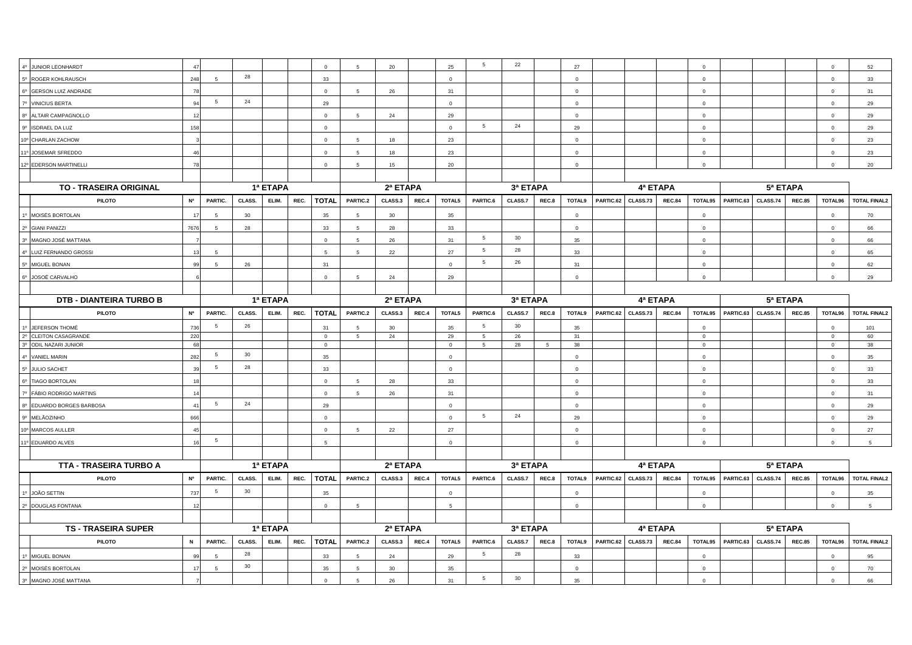| 4º JUNIOR LEONHARDT            | 47          |                 |        |          |      | $\Omega$       | 5               | 20              |       | 25              | -5              | 22       |                | 27            |           |          |               | $\Omega$                |           |                 |               | $\Omega$                | 52                  |  |
|--------------------------------|-------------|-----------------|--------|----------|------|----------------|-----------------|-----------------|-------|-----------------|-----------------|----------|----------------|---------------|-----------|----------|---------------|-------------------------|-----------|-----------------|---------------|-------------------------|---------------------|--|
| 5º ROGER KOHLRAUSCH            | 248         | -5              | 28     |          |      | 33             |                 |                 |       | $\mathbf{0}$    |                 |          |                | $\Omega$      |           |          |               | $\Omega$                |           |                 |               | $\Omega$                | 33                  |  |
| 6º GERSON LUIZ ANDRADE         | 78          |                 |        |          |      | $\circ$        | $5 -$           | 26              |       | 31              |                 |          |                | $\circ$       |           |          |               | $\Omega$                |           |                 |               | $\Omega$                | 31                  |  |
| 7º VINICIUS BERTA              | 94          | 5               | 24     |          |      | 29             |                 |                 |       | $\mathbf{0}$    |                 |          |                | $\mathbf{0}$  |           |          |               | $\overline{0}$          |           |                 |               | $\mathbf{0}$            | 29                  |  |
| 8º ALTAIR CAMPAGNOLLO          | 12          |                 |        |          |      | $\mathbf{0}$   | 5               | 24              |       | 29              |                 |          |                | $\mathbf{0}$  |           |          |               | $\mathbf 0$             |           |                 |               | $\mathbf 0$             | 29                  |  |
| 9º ISDRAEL DA LUZ              | 158         |                 |        |          |      | $\circ$        |                 |                 |       | $\Omega$        | 5               | 24       |                | 29            |           |          |               | $\Omega$                |           |                 |               | $\Omega$                | 29                  |  |
| 10° CHARLAN ZACHOW             |             |                 |        |          |      | $\mathsf 0$    | 5               | 18              |       | 23              |                 |          |                | $\mathbf 0$   |           |          |               | $\mathbf 0$             |           |                 |               | $\overline{0}$          | 23                  |  |
| 11º JOSEMAR SFREDDO            | 46          |                 |        |          |      | $\mathbf 0$    | $5\phantom{.0}$ | 18              |       | 23              |                 |          |                | $\Omega$      |           |          |               | $\mathbf 0$             |           |                 |               | $\mathbf 0$             | 23                  |  |
| 12º EDERSON MARTINELLI         | 78          |                 |        |          |      | $\mathsf 0$    | 5               | 15              |       | 20              |                 |          |                | $\mathbf{0}$  |           |          |               | $\overline{0}$          |           |                 |               | $\mathbf 0$             | 20                  |  |
|                                |             |                 |        |          |      |                |                 |                 |       |                 |                 |          |                |               |           |          |               |                         |           |                 |               |                         |                     |  |
| TO - TRASEIRA ORIGINAL         |             |                 |        | 1ª ETAPA |      |                |                 | 2ª ETAPA        |       |                 |                 | 3ª ETAPA |                |               |           | 4ª ETAPA |               |                         |           |                 |               |                         |                     |  |
| <b>PILOTO</b>                  | N°          | PARTIC.         | CLASS. | ELIM.    | REC. | <b>TOTAL</b>   | PARTIC.2        | CLASS.3         | REC.4 | TOTAL5          | PARTIC.6        | CLASS.7  | REC.8          | <b>TOTAL9</b> | PARTIC.62 | CLASS.73 | <b>REC.84</b> | TOTAL95                 | PARTIC.63 | CLASS.74        | <b>REC.85</b> | TOTAL96                 | <b>TOTAL FINAL2</b> |  |
| 1º MOISÉS BORTOLAN             |             | 5               | 30     |          |      | 35             | -5              | 30              |       | 35              |                 |          |                | $\Omega$      |           |          |               | $\mathbf{0}$            |           |                 |               | $\overline{0}$          | 70                  |  |
| 2º GIANI PANIZZI               | 7676        | 5               | 28     |          |      | 33             | -5              | 28              |       | 33              |                 |          |                | $\Omega$      |           |          |               | $\Omega$                |           |                 |               | $\mathbf 0$             | 66                  |  |
| 3º MAGNO JOSÉ MATTANA          |             |                 |        |          |      | $\mathbf{0}$   | $5 -$           | 26              |       | 31              | 5               | 30       |                | 35            |           |          |               | $\Omega$                |           |                 |               | $\Omega$                | 66                  |  |
| 4º LUIZ FERNANDO GROSSI        | 13          | 5               |        |          |      | 5              | $5\overline{5}$ | 22              |       | 27              | 5               | 28       |                | 33            |           |          |               | $\overline{0}$          |           |                 |               | $\overline{0}$          | 65                  |  |
| 5º MIGUEL BONAN                | 99          | 5               | 26     |          |      | 31             |                 |                 |       | $\mathbf 0$     | $5\overline{5}$ | 26       |                | 31            |           |          |               | $\overline{0}$          |           |                 |               | $\overline{\mathbf{0}}$ | 62                  |  |
| 6º JOSOÉ CARVALHO              |             |                 |        |          |      | $\overline{0}$ | $5\overline{5}$ | 24              |       | 29              |                 |          |                | $\mathbf{0}$  |           |          |               | $\overline{0}$          |           |                 |               | $\overline{0}$          | 29                  |  |
|                                |             |                 |        |          |      |                |                 |                 |       |                 |                 |          |                |               |           |          |               |                         |           |                 |               |                         |                     |  |
| <b>DTB - DIANTEIRA TURBO B</b> |             |                 |        | 1ª ETAPA |      |                |                 | 2ª ETAPA        |       |                 |                 | 3ª ETAPA |                |               |           | 4ª ETAPA |               |                         |           | 5ª ETAPA        |               |                         |                     |  |
| <b>PILOTO</b>                  | N°          | PARTIC.         | CLASS. | ELIM.    | REC. | <b>TOTAL</b>   | PARTIC.2        | CLASS.3         | REC.4 | TOTAL5          | PARTIC.6        | CLASS.7  | REC.8          | <b>TOTAL9</b> | PARTIC.62 | CLASS.73 | <b>REC.84</b> | TOTAL95                 | PARTIC.63 | <b>CLASS.74</b> | <b>REC.85</b> | TOTAL96                 | <b>TOTAL FINAL2</b> |  |
| 1º JEFERSON THOMÉ              | 736         | 5               | 26     |          |      | 31             | 5               | 30              |       | 35              | -5              | 30       |                | 35            |           |          |               | $\mathbf 0$             |           |                 |               | $\mathbf 0$             | 101                 |  |
| 2º CLEITON CASAGRANDE          | 220         |                 |        |          |      | $\overline{0}$ | $5\overline{)}$ | 24              |       | 29              | 5               | 26       |                | 31            |           |          |               | $\overline{0}$          |           |                 |               | $\overline{0}$          | 60                  |  |
| 3º ODIL NAZARI JUNIOR          | 68          |                 |        |          |      | $\mathsf 0$    |                 |                 |       | $\mathsf 0$     | 5               | 28       | $\overline{5}$ | 38            |           |          |               | $\overline{0}$          |           |                 |               | $\Omega$                | 38                  |  |
| 4º VANIEL MARIN                | 282         | 5               | 30     |          |      | 35             |                 |                 |       | $\mathbf{0}$    |                 |          |                | $\Omega$      |           |          |               | $\mathbf 0$             |           |                 |               | $\mathbf 0$             | 35                  |  |
| 5º JULIO SACHET                | 39          | 5               | 28     |          |      | 33             |                 |                 |       | $\Omega$        |                 |          |                | $\circ$       |           |          |               | $\Omega$                |           |                 |               | $\Omega$                | 33                  |  |
| 6º TIAGO BORTOLAN              | 18          |                 |        |          |      | $\circ$        | 5               | 28              |       | 33              |                 |          |                | $\mathbf{0}$  |           |          |               | $\overline{0}$          |           |                 |               | $\mathbf 0$             | 33                  |  |
| 7º FÁBIO RODRIGO MARTINS       | 14          |                 |        |          |      | $\mathsf 0$    | 5               | 26              |       | 31              |                 |          |                | $\mathbf 0$   |           |          |               | $\overline{0}$          |           |                 |               | $\mathbf 0$             | 31                  |  |
| 8º EDUARDO BORGES BARBOSA      | 41          | $5\overline{5}$ | 24     |          |      | 29             |                 |                 |       | $\mathbf 0$     |                 |          |                | $\mathbf 0$   |           |          |               | $\overline{\mathbf{0}}$ |           |                 |               | $\overline{\mathbf{0}}$ | 29                  |  |
| 9º MELÃOZINHO                  | 666         |                 |        |          |      | $\Omega$       |                 |                 |       | $\mathbf 0$     | 5               | 24       |                | 29            |           |          |               | $\mathbf 0$             |           |                 |               | $\mathbf 0$             | 29                  |  |
| 10° MARCOS AULLER              | 45          |                 |        |          |      | $\mathsf 0$    | $5\overline{5}$ | 22              |       | 27              |                 |          |                | $\mathbf{0}$  |           |          |               | $\Omega$                |           |                 |               | $\Omega$                | 27                  |  |
| 11º EDUARDO ALVES              | 16          | 5               |        |          |      | 5              |                 |                 |       | $\circ$         |                 |          |                | $\mathbf{0}$  |           |          |               | $\mathbf 0$             |           |                 |               | $\mathbf 0$             | 5                   |  |
|                                |             |                 |        |          |      |                |                 |                 |       |                 |                 |          |                |               |           |          |               |                         |           |                 |               |                         |                     |  |
| <b>TTA - TRASEIRA TURBO A</b>  |             |                 |        | 1ª ETAPA |      |                |                 | 2ª ETAPA        |       |                 |                 | 3ª ETAPA |                |               |           | 4ª ETAPA |               |                         |           | 5ª ETAPA        |               |                         |                     |  |
| <b>PILOTO</b>                  | <b>N°</b>   | PARTIC.         | CLASS. | ELIM.    | REC. | <b>TOTAL</b>   | PARTIC.2        | CLASS.3         | REC.4 | TOTAL5          | PARTIC.6        | CLASS.7  | REC.8          | TOTAL9        | PARTIC.62 | CLASS.73 | <b>REC.84</b> | TOTAL95                 | PARTIC.63 | CLASS.74        | <b>REC.85</b> | TOTAL96                 | <b>TOTAL FINAL2</b> |  |
| 1º JOÃO SETTIN                 | 737         | 5               | 30     |          |      | 35             |                 |                 |       | $\Omega$        |                 |          |                | $\Omega$      |           |          |               | $\Omega$                |           |                 |               | $\Omega$                | 35                  |  |
| 2º DOUGLAS FONTANA             | 12          |                 |        |          |      | $\mathbf{0}$   | $5\overline{5}$ |                 |       | $5\overline{5}$ |                 |          |                | $\Omega$      |           |          |               | $\overline{0}$          |           |                 |               | $\mathbf 0$             | $5\overline{5}$     |  |
|                                |             |                 |        |          |      |                |                 |                 |       |                 |                 |          |                |               |           |          |               |                         |           |                 |               |                         |                     |  |
| <b>TS - TRASEIRA SUPER</b>     |             |                 |        | 1ª ETAPA |      |                |                 | 2ª ETAPA        |       |                 |                 | 3ª ETAPA |                |               |           | 4ª ETAPA |               |                         |           | 5ª ETAPA        |               |                         |                     |  |
| <b>PILOTO</b>                  | $\mathbf N$ | PARTIC.         | CLASS. | ELIM.    | REC. | <b>TOTAL</b>   | PARTIC.2        | CLASS.3         | REC.4 | TOTAL5          | PARTIC.6        | CLASS.7  | REC.8          | TOTAL9        | PARTIC.62 | CLASS.73 | <b>REC.84</b> | TOTAL95                 | PARTIC.63 | CLASS.74        | <b>REC.85</b> | TOTAL96                 | <b>TOTAL FINAL2</b> |  |
| 1º MIGUEL BONAN                |             | 5               | 28     |          |      | 33             | $5\overline{5}$ | 24              |       | 29              | 5               | 28       |                | 33            |           |          |               | $\overline{0}$          |           |                 |               | $\mathbf 0$             | 95                  |  |
| 2º MOISÉS BORTOLAN             | 17          | 5               | 30     |          |      | 35             | $5^{\circ}$     | 30 <sup>°</sup> |       | 35              |                 |          |                | $\Omega$      |           |          |               | $\Omega$                |           |                 |               | $\mathbf 0$             | 70                  |  |
| 3º MAGNO JOSÉ MATTANA          |             |                 |        |          |      | $\mathsf 0$    | 5               | 26              |       | 31              | 5               | 30       |                | 35            |           |          |               | $\mathbf 0$             |           |                 |               | $\mathbf 0$             | 66                  |  |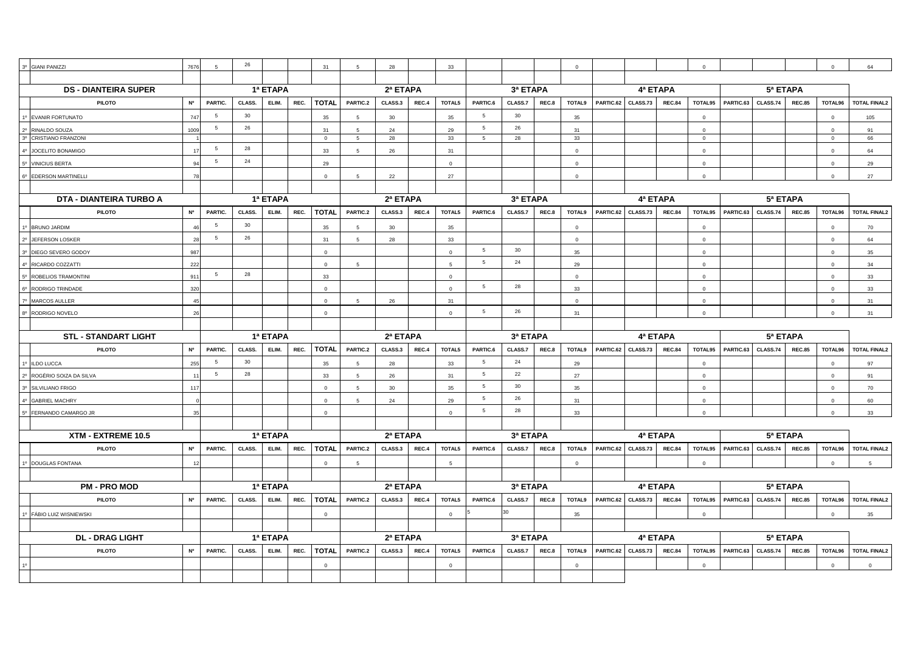| 3 <sup>o</sup>  | <b>GIANI PANIZZI</b>                    | 7676                                     |                 | 26       |          |              | 31             | 5               | 28         |        | 33             |                 |          |        | $\Omega$       |           |               |               |                |                                      |          |               |                | 64                  |
|-----------------|-----------------------------------------|------------------------------------------|-----------------|----------|----------|--------------|----------------|-----------------|------------|--------|----------------|-----------------|----------|--------|----------------|-----------|---------------|---------------|----------------|--------------------------------------|----------|---------------|----------------|---------------------|
|                 |                                         |                                          |                 |          |          |              |                |                 |            |        |                |                 |          |        |                |           |               |               |                |                                      |          |               |                |                     |
|                 | <b>DS - DIANTEIRA SUPER</b>             |                                          |                 |          | 1ª ETAPA |              |                | 2ª ETAPA        |            |        |                |                 | 3ª ETAPA |        |                |           | 4ª ETAPA      |               |                |                                      |          | 5ª ETAPA      |                |                     |
|                 | <b>PILOTO</b>                           | N°                                       | PARTIC.         | CLASS.   | ELIM.    | REC.         | <b>TOTAL</b>   | PARTIC.2        | CLASS.3    | REC.4  | TOTAL5         | PARTIC.6        | CLASS.7  | REC.8  | TOTAL9         | PARTIC.62 | CLASS.73      | <b>REC.84</b> | TOTAL95        | PARTIC.63                            | CLASS.74 | <b>REC.85</b> | TOTAL96        | <b>TOTAL FINAL2</b> |
|                 | <b>EVANIR FORTUNATO</b>                 | 747                                      | 5               | 30       |          |              | 35             | 5               | $30\,$     |        | 35             | 5               | 30       |        | 35             |           |               |               | $\overline{0}$ |                                      |          |               | $\Omega$       | 105                 |
|                 | RINALDO SOUZA                           | 1009                                     | 5               | 26       |          |              | 31             | -5              | 24         |        | 29             | 5               | 26       |        | 31             |           |               |               | $\Omega$       |                                      |          |               | $\Omega$       | 91                  |
|                 | 3º CRISTIANO FRANZONI                   |                                          |                 |          |          |              | $\overline{0}$ | 5               | 28         |        | 33             | 5               | 28       |        | 33             |           |               |               | $\Omega$       |                                      |          |               | $\mathbf 0$    | 66                  |
| $4^{\circ}$     | JOCELITO BONAMIGO                       | $\blacktriangleleft$                     | $5\overline{5}$ | 28       |          |              | 33             | 5               | 26         |        | 31             |                 |          |        | $\Omega$       |           |               |               | $\Omega$       |                                      |          |               | $\circ$        | 64                  |
|                 | 5º VINICIUS BERTA                       | $\alpha$                                 | $5\overline{5}$ | 24       |          |              | 29             |                 |            |        | $\mathbf 0$    |                 |          |        | $\mathbf{0}$   |           |               |               | $\mathbf 0$    |                                      |          |               | $\circ$        | 29                  |
| 6 <sup>o</sup>  | EDERSON MARTINELLI                      | 78                                       |                 |          |          |              | $\Omega$       | 5               | 22         |        | 27             |                 |          |        | $\Omega$       |           |               |               |                |                                      |          |               | $\Omega$       | 27                  |
|                 |                                         |                                          |                 |          |          |              |                |                 |            |        |                |                 |          |        |                |           |               |               |                |                                      |          |               |                |                     |
|                 | <b>DTA - DIANTEIRA TURBO A</b>          |                                          |                 |          | 1ª ETAPA |              |                |                 | 2ª ETAPA   |        |                |                 | 3ª ETAPA |        |                |           | 4ª ETAPA      |               |                |                                      |          | 5ª ETAPA      |                |                     |
|                 | PILOTO                                  | N°                                       | PARTIC.         | CLASS.   | ELIM.    | REC.         | <b>TOTAL</b>   | PARTIC.2        | CLASS.3    | REC.4  | TOTAL5         | PARTIC.6        | CLASS.7  | REC.8  | TOTAL9         | PARTIC.62 | CLASS.73      | <b>REC.84</b> | TOTAL95        | PARTIC.63                            | CLASS.74 | <b>REC.85</b> | TOTAL96        | <b>TOTAL FINAL2</b> |
|                 | <b>BRUNO JARDIM</b>                     |                                          | 5               | 30       |          |              | 35             | 5               | 30         |        | 35             |                 |          |        | $\overline{0}$ |           |               |               | $\overline{0}$ |                                      |          |               | $\overline{0}$ | 70                  |
|                 | JEFERSON LOSKER                         | 28                                       | 5               | 26       |          |              | 31             | 5               | 28         |        | 33             |                 |          |        | $\mathbf 0$    |           |               |               | $\mathbf{0}$   |                                      |          |               | $\circ$        | 64                  |
|                 | DIEGO SEVERO GODOY                      | 987                                      |                 |          |          |              | $\overline{0}$ |                 |            |        | $\mathbf{0}$   | $5\overline{5}$ | 30       |        | 35             |           |               |               | $\Omega$       |                                      |          |               | $\Omega$       | 35                  |
| $4^{\circ}$     | RICARDO COZZATTI                        | 222                                      |                 |          |          |              | $\mathbf{0}$   | $5^{\circ}$     |            |        | 5              | 5               | 24       |        | 29             |           |               |               | $\Omega$       |                                      |          |               | $\Omega$       | 34                  |
|                 | ROBELIOS TRAMONTINI                     | 911                                      | 5               | 28       |          |              | 33             |                 |            |        | $\circ$        |                 |          |        | $\mathbf 0$    |           |               |               | $\circ$        |                                      |          |               | $\circ$        | 33                  |
|                 | RODRIGO TRINDADE                        | 320                                      |                 |          |          |              | $\Omega$       |                 |            |        | $\Omega$       | $5\overline{5}$ | 28       |        | 33             |           |               |               |                |                                      |          |               | $\Omega$       | 33                  |
|                 | MARCOS AULLER                           | 45                                       |                 |          |          |              | $\mathbf{0}$   | $5\phantom{.0}$ | 26         |        | 31             |                 |          |        | $\mathsf 0$    |           |               |               | $\mathbf{0}$   |                                      |          |               | $\overline{0}$ | 31                  |
|                 | RODRIGO NOVELO                          | 26                                       |                 |          |          |              | $\mathbf 0$    |                 |            |        | $\overline{0}$ | -5              | 26       |        | 31             |           |               |               | $\Omega$       |                                      |          |               | $\circ$        | 31                  |
|                 |                                         |                                          |                 |          |          |              |                |                 |            |        |                |                 |          |        |                |           |               |               |                |                                      |          |               |                |                     |
|                 | <b>STL - STANDART LIGHT</b><br>1ª ETAPA |                                          |                 |          |          |              |                |                 | 2ª ETAPA   |        |                |                 | 3ª ETAPA |        |                |           | 4ª ETAPA      |               |                |                                      |          | 5ª ETAPA      |                |                     |
|                 | <b>PILOTO</b>                           | <b>N°</b>                                | PARTIC.         | CLASS.   | ELIM.    | REC.         | <b>TOTAL</b>   | PARTIC.2        | CLASS.3    | REC.4  | TOTAL5         | PARTIC.6        | CLASS.7  | REC.8  | TOTAL9         | PARTIC.62 | CLASS.73      | <b>REC.84</b> | TOTAL95        | PARTIC.63                            | CLASS.74 | <b>REC.85</b> | TOTAL96        | <b>TOTAL FINAL2</b> |
|                 | 1º ILDO LUCCA                           | 255                                      | $5\overline{5}$ | 30       |          |              | 35             | 5               | ${\bf 28}$ |        | 33             | $5\overline{5}$ | 24       |        | 29             |           |               |               | $\overline{0}$ |                                      |          |               | $\overline{0}$ | 97                  |
|                 | ROGÉRIO SOIZA DA SILVA                  | $\overline{1}$                           | 5               | 28       |          |              | 33             | $5\overline{5}$ | 26         |        | 31             | $5\overline{5}$ | 22       |        | 27             |           |               |               | $\Omega$       |                                      |          |               | $\overline{0}$ | 91                  |
| 3 <sup>0</sup>  | SILVILIANO FRIGO                        | 117                                      |                 |          |          |              | $\overline{0}$ | 5               | 30         |        | 35             | $5\overline{5}$ | 30       |        | 35             |           |               |               | $\Omega$       |                                      |          |               | $\Omega$       | 70                  |
|                 | <b>GABRIEL MACHRY</b>                   |                                          |                 |          |          |              | $\mathbf 0$    | 5               | 24         |        | 29             | $5\overline{5}$ | 26       |        | 31             |           |               |               | $\mathbf{0}$   |                                      |          |               | $\circ$        | 60                  |
| $5^{\circ}$     | FERNANDO CAMARGO JR                     | 35                                       |                 |          |          |              | $\overline{0}$ |                 |            |        | $\mathbf 0$    | $5\phantom{.0}$ | 28       |        | 33             |           |               |               | $\Omega$       |                                      |          |               | $\mathbf 0$    | 33                  |
|                 |                                         |                                          |                 |          |          |              |                |                 |            |        |                |                 |          |        |                |           |               |               |                |                                      |          |               |                |                     |
|                 | XTM - EXTREME 10.5                      | 1ª ETAPA                                 |                 |          |          |              |                |                 | 2ª ETAPA   |        |                |                 | 3ª ETAPA |        |                |           | 4ª ETAPA      |               |                |                                      |          | 5ª ETAPA      |                |                     |
|                 | PILOTO                                  | <b>N°</b>                                | PARTIC.         | CLASS.   | ELIM.    | REC.         | <b>TOTAL</b>   | PARTIC.2        | CLASS.3    | REC.4  | TOTAL5         | PARTIC.6        | CLASS.7  | REC.8  | TOTAL9         | PARTIC.62 | CLASS.73      | <b>REC.84</b> | TOTAL95        | PARTIC.63                            | CLASS.74 | <b>REC.85</b> | TOTAL96        | <b>TOTAL FINAL2</b> |
| 40 <sup>2</sup> | <b>DOUGLAS FONTANA</b>                  | 12                                       |                 |          |          |              | $\mathbf 0$    | 5               |            |        | 5              |                 |          |        | $\mathbf 0$    |           |               |               | $\Omega$       |                                      |          |               | $\circ$        | -5                  |
|                 |                                         |                                          |                 |          |          |              |                |                 |            |        |                |                 |          |        |                |           |               |               |                |                                      |          |               |                |                     |
|                 | <b>PM - PRO MOD</b>                     |                                          |                 | 1ª ETAPA |          |              |                |                 | 2ª ETAPA   |        |                |                 | 3ª ETAPA |        |                |           | 4ª ETAPA      |               |                |                                      |          | 5ª ETAPA      |                |                     |
|                 | PILOTO                                  | N°<br>PARTIC.<br>CLASS.<br>ELIM.<br>REC. |                 |          |          | <b>TOTAL</b> | PARTIC.2       | CLASS.3         | REC.4      | TOTAL5 | PARTIC.6       | CLASS.7         | REC.8    | TOTAL9 | PARTIC.62      | CLASS.73  | <b>REC.84</b> | TOTAL95       | PARTIC.63      | CLASS.74<br><b>REC.85</b><br>TOTAL96 |          |               |                |                     |
| 10              | FÁBIO LUIZ WISNIEWSKI                   |                                          |                 |          |          |              | $\mathbf 0$    |                 |            |        | $\overline{0}$ |                 | 30       |        | 35             |           |               |               | $\mathbf{0}$   |                                      |          |               | $\circ$        | 35                  |
|                 |                                         |                                          |                 |          |          |              |                |                 |            |        |                |                 |          |        |                |           |               |               |                |                                      |          |               |                |                     |
|                 |                                         |                                          |                 |          | 1ª ETAPA |              |                | 2ª ETAPA        |            |        |                |                 | 3ª ETAPA |        |                |           |               | 4ª ETAPA      |                |                                      |          |               |                |                     |
|                 | <b>DL - DRAG LIGHT</b>                  |                                          |                 |          |          |              |                |                 |            |        |                |                 |          |        |                |           |               |               |                |                                      |          | 5ª ETAPA      |                |                     |
|                 |                                         | N°                                       | PARTIC.         | CLASS.   | ELIM.    |              |                | PARTIC.2        | CLASS.3    | REC.4  | TOTAL5         | PARTIC.6        | CLASS.7  | REC.8  | TOTAL9         | PARTIC.62 |               | <b>REC.84</b> | TOTAL95        |                                      |          |               |                | <b>TOTAL FINAL2</b> |
|                 | <b>PILOTO</b>                           |                                          |                 |          |          | REC.         | <b>TOTAL</b>   |                 |            |        |                |                 |          |        |                |           | CLASS.73      |               |                | PARTIC.63                            | CLASS.74 | <b>REC.85</b> | TOTAL96        |                     |
|                 |                                         |                                          |                 |          |          |              | $\overline{0}$ |                 |            |        | $\mathbf 0$    |                 |          |        | $\Omega$       |           |               |               | $\Omega$       |                                      |          |               | $\circ$        | $\mathbf{0}$        |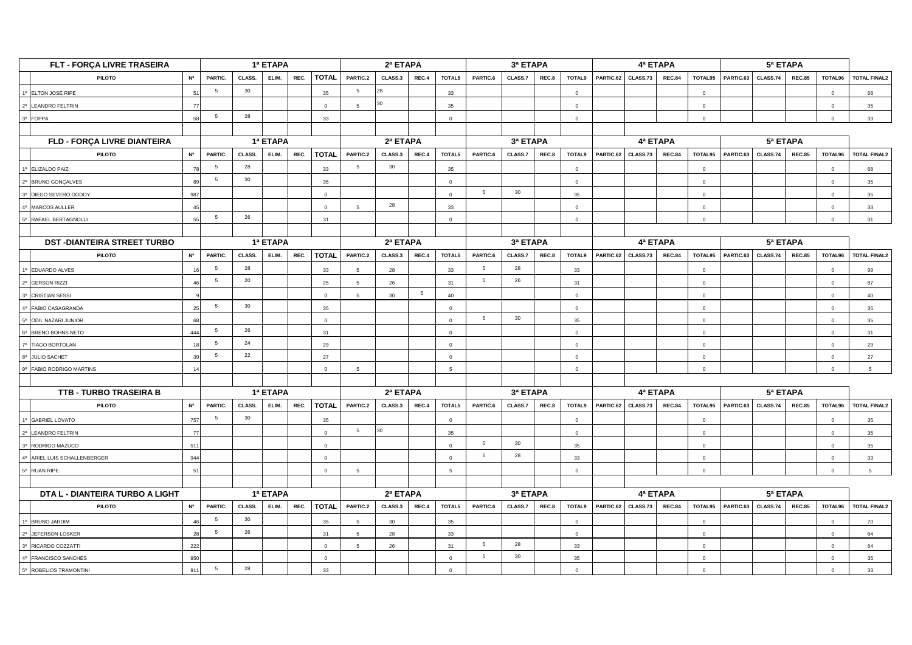|                                             | FLT - FORÇA LIVRE TRASEIRA        |                |         |        | 1ª ETAPA |      |                | 2ª ETAPA        |          |       |              |                 | 3ª ETAPA       |       |                | 4ª ETAPA  |          |               |                |           |          |               |                |                     |
|---------------------------------------------|-----------------------------------|----------------|---------|--------|----------|------|----------------|-----------------|----------|-------|--------------|-----------------|----------------|-------|----------------|-----------|----------|---------------|----------------|-----------|----------|---------------|----------------|---------------------|
|                                             | <b>PILOTO</b>                     | <b>N°</b>      | PARTIC. | CLASS. | ELIM.    | REC. | <b>TOTAL</b>   | PARTIC.2        | CLASS.3  | REC.4 | TOTAL5       | PARTIC.6        | CLASS.7        | REC.8 | TOTAL9         | PARTIC.62 | CLASS.73 | <b>REC.84</b> | TOTAL95        | PARTIC.63 | CLASS.74 | <b>REC.85</b> | TOTAL96        | <b>TOTAL FINAL2</b> |
|                                             | 1º ELTON JOSÉ RIPE                |                | 5       | 30     |          |      | 35             | $5\overline{5}$ | 28       |       | 33           |                 |                |       | $\mathbf 0$    |           |          |               | $\Omega$       |           |          |               | $\overline{0}$ | 68                  |
|                                             | 2º LEANDRO FELTRIN                |                |         |        |          |      | $\Omega$       | 5               | 30       |       | 35           |                 |                |       | $\overline{0}$ |           |          |               | $\Omega$       |           |          |               | $\overline{0}$ | 35                  |
| 3 <sup>o</sup>                              | <b>FOPPA</b>                      | 58             | 5       | 28     |          |      | 33             |                 |          |       | $\Omega$     |                 |                |       | $\overline{0}$ |           |          |               | $\Omega$       |           |          |               | $\Omega$       | 33                  |
|                                             |                                   |                |         |        |          |      |                |                 |          |       |              |                 |                |       |                |           |          |               |                |           |          |               |                |                     |
|                                             | FLD - FORÇA LIVRE DIANTEIRA       |                |         |        | 1ª ETAPA |      |                |                 | 2ª ETAPA |       |              |                 | 3ª ETAPA       |       |                |           | 4ª ETAPA |               |                |           | 5ª ETAPA |               |                |                     |
|                                             | <b>PILOTO</b>                     | <b>Nº</b>      | PARTIC. | CLASS. | ELIM.    | REC. | <b>TOTAL</b>   | PARTIC.2        | CLASS.3  | REC.4 | TOTAL5       | PARTIC.6        | CLASS.7        | REC.8 | <b>TOTAL9</b>  | PARTIC.62 | CLASS.73 | <b>REC.84</b> | TOTAL95        | PARTIC.63 | CLASS.74 | <b>REC.85</b> | TOTAL96        | <b>TOTAL FINAL2</b> |
|                                             | 1º ELIZALDO PAIZ                  |                | 5       | 28     |          |      | 33             | $5\overline{5}$ | 30       |       | 35           |                 |                |       | $\mathbf 0$    |           |          |               | $\overline{0}$ |           |          |               | $\mathbf 0$    | 68                  |
| 20 <sup>°</sup>                             | <b>BRUNO GONÇALVES</b>            |                | 5       | $30\,$ |          |      | 35             |                 |          |       | $\mathbf{0}$ |                 |                |       | $\Omega$       |           |          |               | $\Omega$       |           |          |               | $\overline{0}$ | 35                  |
| 3 <sup>o</sup>                              | DIEGO SEVERO GODOY                | 987            |         |        |          |      | $\Omega$       |                 |          |       | $\Omega$     | 5               | 30             |       | 35             |           |          |               | $\Omega$       |           |          |               | $\Omega$       | 35                  |
| 4 <sup>0</sup>                              | MARCOS AULLER                     | 45             |         |        |          |      | $\overline{0}$ | $5\overline{5}$ | 28       |       | 33           |                 |                |       | $\mathbf{0}$   |           |          |               | $\circ$        |           |          |               | $\overline{0}$ | 33                  |
|                                             | 5º RAFAEL BERTAGNOLLI             | 55             | 5       | 26     |          |      | 31             |                 |          |       | $\circ$      |                 |                |       | $\mathbf{0}$   |           |          |               | $\Omega$       |           |          |               | $\Omega$       | 31                  |
|                                             |                                   |                |         |        |          |      |                |                 |          |       |              |                 |                |       |                |           |          |               |                |           |          |               |                |                     |
|                                             | <b>DST-DIANTEIRA STREET TURBO</b> |                |         |        | 1ª ETAPA |      |                |                 | 2ª ETAPA |       |              |                 | 3ª ETAPA       |       |                |           | 4ª ETAPA |               |                |           | 5ª ETAPA |               |                |                     |
|                                             | <b>PILOTO</b>                     | <b>Nº</b>      | PARTIC. | CLASS. | ELIM.    | REC. | <b>TOTAL</b>   | PARTIC.2        | CLASS.3  | REC.4 | TOTAL5       | PARTIC.6        | CLASS.7        | REC.8 | TOTAL9         | PARTIC.62 | CLASS.73 | <b>REC.84</b> | TOTAL95        | PARTIC.63 | CLASS.74 | <b>REC.85</b> | TOTAL96        | <b>TOTAL FINAL2</b> |
|                                             | 1º EDUARDO ALVES                  |                | 5       | 28     |          |      | 33             | -5              | 28       |       | 33           | 5               | 28             |       | 33             |           |          |               | $\Omega$       |           |          |               | $\Omega$       | 99                  |
|                                             | 2º GERSON RIZZI                   |                | 5       | 20     |          |      | 25             | $5\overline{5}$ | 26       |       | 31           | $5\overline{5}$ | 26             |       | 31             |           |          |               | $\mathbf{0}$   |           |          |               | $\mathbf 0$    | 87                  |
| 3 <sup>o</sup>                              | <b>CRISTIAN SESSI</b>             |                |         |        |          |      | $\mathbf 0$    | 5               | 30       | 5     | 40           |                 |                |       | $\mathbf{0}$   |           |          |               | $\Omega$       |           |          |               | $\mathbf 0$    | 40                  |
|                                             | FÁBIO CASAGRANDA                  | 25             | 5       | 30     |          |      | 35             |                 |          |       | $\circ$      |                 |                |       | $\mathbf 0$    |           |          |               | $\Omega$       |           |          |               | $\mathbf 0$    | 35                  |
|                                             | ODIL NAZARI JUNIOR                |                |         |        |          |      | $\circ$        |                 |          |       | $\mathbf{0}$ | -5              | 30             |       | 35             |           |          |               | $\Omega$       |           |          |               | $\overline{0}$ | 35                  |
|                                             | BRENO BOHNS NETO                  | 444            | 5       | 26     |          |      | 31             |                 |          |       | $\Omega$     |                 |                |       | $\Omega$       |           |          |               | $\Omega$       |           |          |               | $\overline{0}$ | 31                  |
|                                             | 7º TIAGO BORTOLAN                 | 18             | 5       | 24     |          |      | 29             |                 |          |       | $\Omega$     |                 |                |       | $\overline{0}$ |           |          |               | $\Omega$       |           |          |               | $\overline{0}$ | 29                  |
| $8^{\circ}$                                 | <b>JULIO SACHET</b>               | 39             | 5       | 22     |          |      | 27             |                 |          |       | $\circ$      |                 |                |       | $\circ$        |           |          |               | $\Omega$       |           |          |               | $\overline{0}$ | 27                  |
| qo.                                         | FÁBIO RODRIGO MARTINS             | 14             |         |        |          |      | $\mathbf 0$    | 5               |          |       | 5            |                 |                |       | $\mathbf 0$    |           |          |               | $\Omega$       |           |          |               | $\mathbf 0$    | 5                   |
|                                             |                                   |                |         |        |          |      |                |                 |          |       |              |                 |                |       |                |           |          |               |                |           |          |               |                |                     |
|                                             | <b>TTB - TURBO TRASEIRA B</b>     |                |         |        | 1ª ETAPA |      |                |                 | 2ª ETAPA |       |              |                 | 3ª ETAPA       |       |                |           | 4ª ETAPA |               |                |           |          |               |                |                     |
|                                             | <b>PILOTO</b>                     | N <sup>o</sup> | PARTIC. | CLASS. | ELIM.    | REC. | <b>TOTAL</b>   | PARTIC.2        | CLASS.3  | REC.4 | TOTAL5       | PARTIC.6        | CLASS.7        | REC.8 | <b>TOTAL9</b>  | PARTIC.62 | CLASS.73 | <b>REC.84</b> | TOTAL95        | PARTIC.63 | CLASS.74 | <b>REC.85</b> | TOTAL96        | <b>TOTAL FINAL2</b> |
|                                             | 1º GABRIEL LOVATO                 | 757            | -5      | 30     |          |      | 35             |                 |          |       | $\circ$      |                 |                |       | $\mathbf{0}$   |           |          |               | $\Omega$       |           |          |               | $\overline{0}$ | 35                  |
| $2^{\circ}$                                 | LEANDRO FELTRIN                   | 77             |         |        |          |      | $\mathbf 0$    | $5\overline{5}$ | 30       |       | 35           |                 |                |       | $\mathbf{0}$   |           |          |               | $\Omega$       |           |          |               | $\overline{0}$ | 35                  |
| 30 <sub>1</sub>                             | RODRIGO MAZUCO                    | 511            |         |        |          |      | $\overline{0}$ |                 |          |       | $\circ$      | $5\overline{5}$ | 30             |       | 35             |           |          |               | $\Omega$       |           |          |               | $\overline{0}$ | 35                  |
|                                             | 4º ARIEL LUIS SCHALLENBERGER      | 944            |         |        |          |      | $\Omega$       |                 |          |       | $\Omega$     | 5               | 28             |       | 33             |           |          |               |                |           |          |               | $\Omega$       | 33                  |
|                                             | 5º RUAN RIPE                      | 51             |         |        |          |      | $\overline{0}$ | 5               |          |       | 5            |                 |                |       | $\mathbf{0}$   |           |          |               | $\mathbf{0}$   |           |          |               | $\overline{0}$ | 5                   |
|                                             |                                   |                |         |        |          |      |                |                 |          |       |              |                 |                |       |                |           |          |               |                |           |          |               |                |                     |
| DTA L - DIANTEIRA TURBO A LIGHT<br>1ª ETAPA |                                   |                |         |        |          |      |                |                 | 2ª ETAPA |       |              |                 | 3ª ETAPA       |       |                |           | 4ª ETAPA |               |                |           |          |               |                |                     |
|                                             | <b>PILOTO</b>                     | <b>N°</b>      | PARTIC. | CLASS. | ELIM.    | REC. | <b>TOTAL</b>   | PARTIC.2        | CLASS.3  | REC.4 | TOTAL5       | PARTIC.6        | <b>CLASS.7</b> | REC.8 | <b>TOTAL9</b>  | PARTIC.62 | CLASS.73 | <b>REC.84</b> | TOTAL95        | PARTIC.63 | CLASS.74 | <b>REC.85</b> | TOTAL96        | <b>TOTAL FINAL2</b> |
|                                             | 1º BRUNO JARDIM                   |                | 5       | $30\,$ |          |      | 35             | $5\overline{5}$ | 30       |       | 35           |                 |                |       | $\mathbf{0}$   |           |          |               | $\mathbf 0$    |           |          |               | $\overline{0}$ | 70                  |
|                                             | 2º JEFERSON LOSKER                |                | 5       | 26     |          |      | 31             |                 | 28       |       | 33           |                 |                |       | $\mathbf 0$    |           |          |               |                |           |          |               | $\mathbf 0$    | 64                  |
|                                             | 3º RICARDO COZZATTI               | 222            |         |        |          |      | $\mathbf 0$    | 5               | 26       |       | 31           | 5               | 28             |       | 33             |           |          |               | $\mathbf 0$    |           |          |               | $\mathbf 0$    | 64                  |
|                                             | 4º FRANCISCO SANCHES              | 950            |         |        |          |      | $\overline{0}$ |                 |          |       | $\mathbf{0}$ | 5               | 30             |       | 35             |           |          |               | $\Omega$       |           |          |               | $\Omega$       | 35                  |
|                                             | 5º ROBELIOS TRAMONTINI            | 911            | 5       | 28     |          |      | 33             |                 |          |       | $\mathbf{0}$ |                 |                |       | $\mathbf{0}$   |           |          |               | $\Omega$       |           |          |               | $\Omega$       | 33                  |